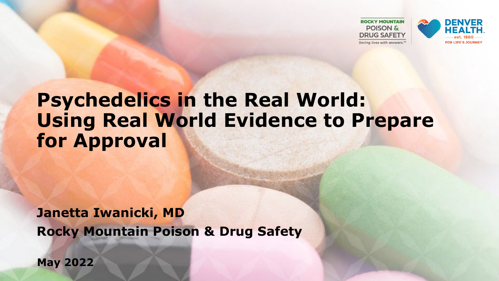

### **Psychedelics in the Real World: Using Real World Evidence to Prepare for Approval**

**Janetta Iwanicki, MD Rocky Mountain Poison & Drug Safety** 

**May 2022**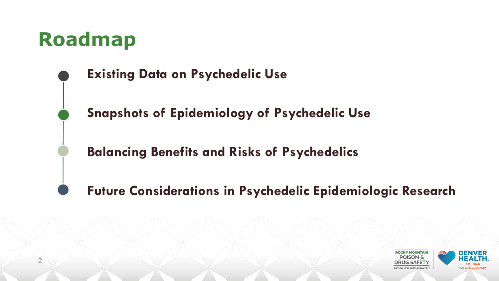### **Roadmap**

2



**Snapshots of Epidemiology of Psychedelic Use**

**Balancing Benefits and Risks of Psychedelics**

**Future Considerations in Psychedelic Epidemiologic Research**

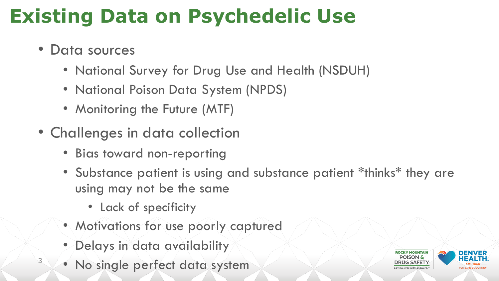# **Existing Data on Psychedelic Use**

- Data sources
	- National Survey for Drug Use and Health (NSDUH)
	- National Poison Data System (NPDS)
	- Monitoring the Future (MTF)
- Challenges in data collection
	- Bias toward non-reporting
	- Substance patient is using and substance patient \*thinks\* they are using may not be the same
		- Lack of specificity
	- Motivations for use poorly captured
	- Delays in data availability
- <sup>3</sup> No single perfect data system

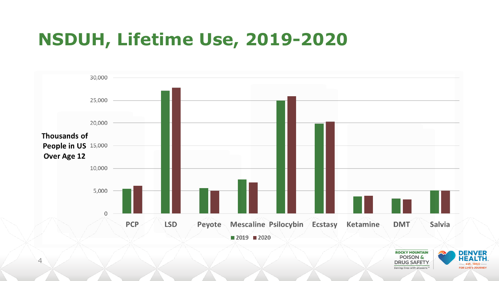### **NSDUH, Lifetime Use, 2019-2020**

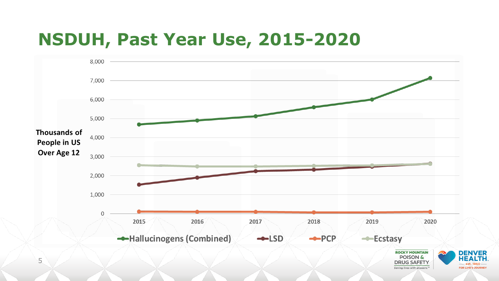### **NSDUH, Past Year Use, 2015-2020**

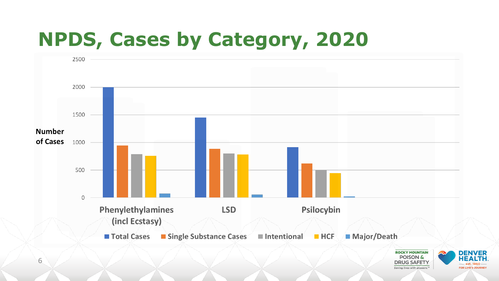# **NPDS, Cases by Category, 2020**





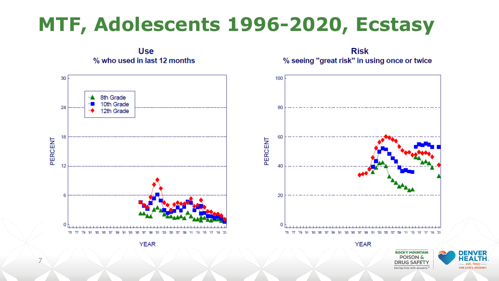## **MTF, Adolescents 1996-2020, Ecstasy**

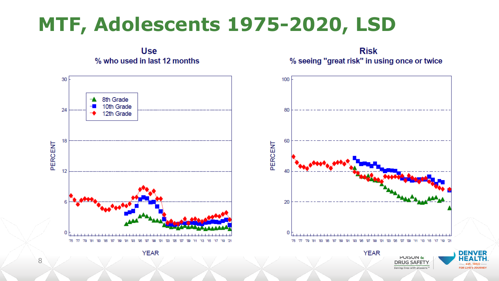## **MTF, Adolescents 1975-2020, LSD**



Saving lives with answers.<sup>™</sup>

**FOR LIFE'S JOURN** 

8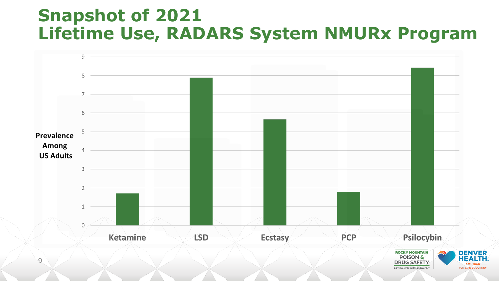### **Snapshot of 2021 Lifetime Use, RADARS System NMURx Program**

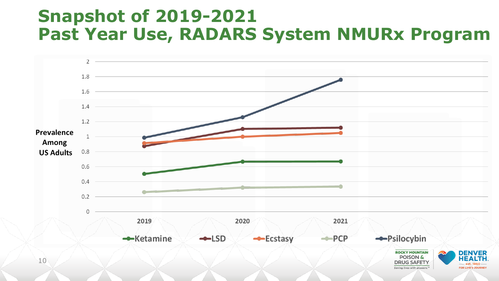### **Snapshot of 2019-2021 Past Year Use, RADARS System NMURx Program**

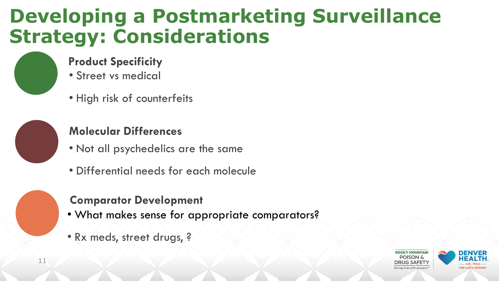## **Developing a Postmarketing Surveillance Strategy: Considerations**

#### **Product Specificity**

- Street vs medical
- High risk of counterfeits



 $4.1$ 

#### **Molecular Differences**

- Not all psychedelics are the same
- Differential needs for each molecule

#### **Comparator Development**

- What makes sense for appropriate comparators?
- Rx meds, street drugs, ?



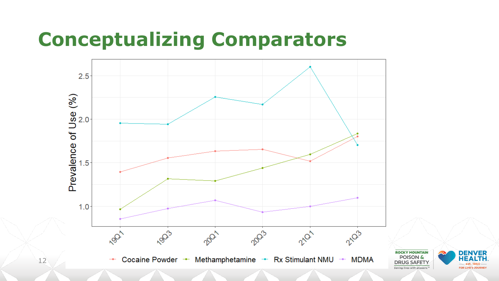## **Conceptualizing Comparators**

 $12$ 



**DENVER HEAL** FOR LIFE'S JOURNE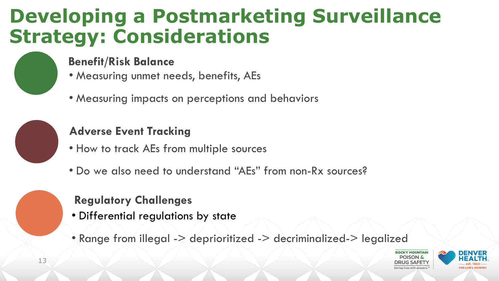## **Developing a Postmarketing Surveillance Strategy: Considerations**



#### **Benefit/Risk Balance**

- Measuring unmet needs, benefits, AEs
- Measuring impacts on perceptions and behaviors



#### **Adverse Event Tracking**

- How to track AEs from multiple sources
- Do we also need to understand "AEs" from non-Rx sources?

#### **Regulatory Challenges**

- Differential regulations by state
- Range from illegal -> deprioritized -> decriminalized-> legalized